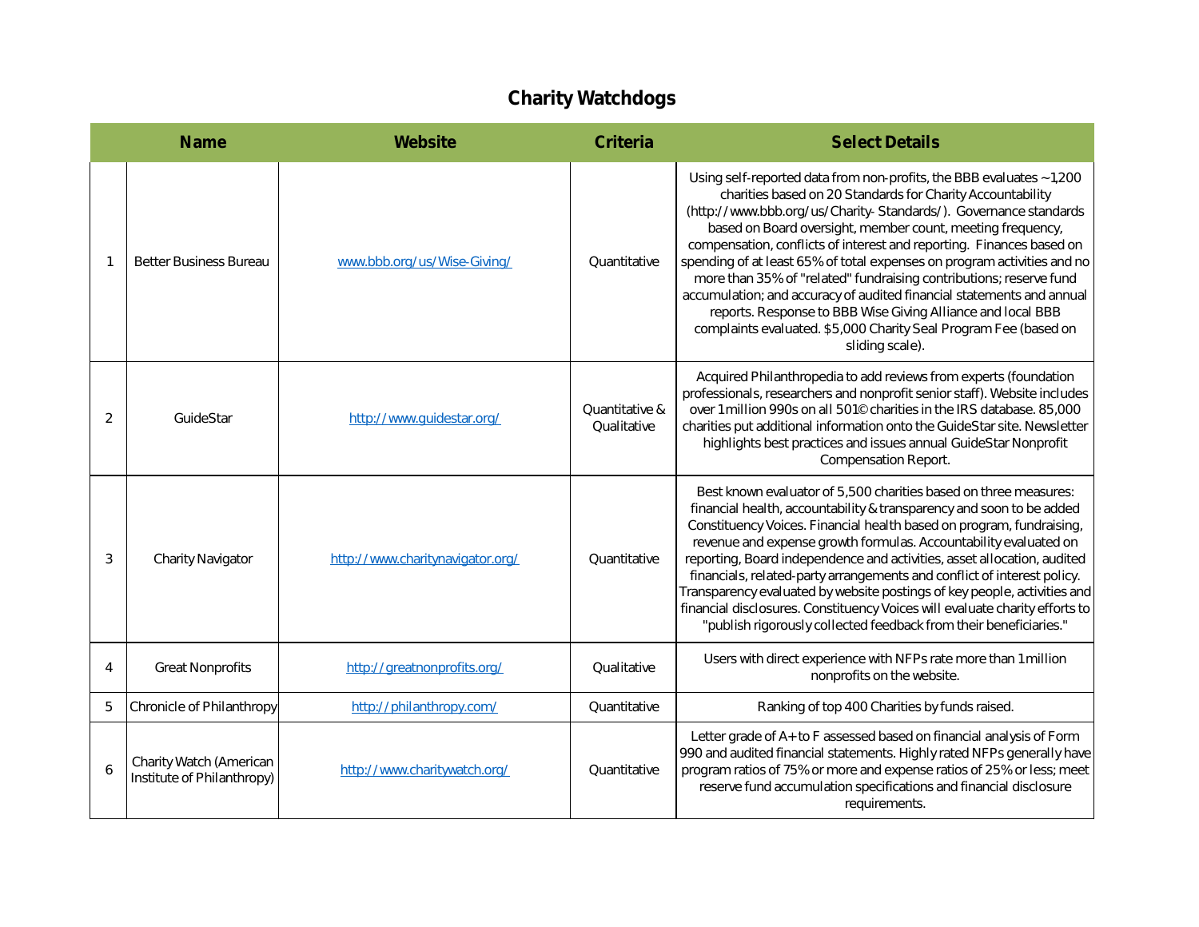## **Charity Watchdogs**

|   | Name                                                  | <b>Website</b>                   | Criteria                      | <b>Select Details</b>                                                                                                                                                                                                                                                                                                                                                                                                                                                                                                                                                                                                                                                                                                       |
|---|-------------------------------------------------------|----------------------------------|-------------------------------|-----------------------------------------------------------------------------------------------------------------------------------------------------------------------------------------------------------------------------------------------------------------------------------------------------------------------------------------------------------------------------------------------------------------------------------------------------------------------------------------------------------------------------------------------------------------------------------------------------------------------------------------------------------------------------------------------------------------------------|
|   | <b>Better Business Bureau</b>                         | www.bbb.org/us/Wise-Giving/      | Quantitative                  | Using self-reported data from non-profits, the BBB evaluates ~1,200<br>charities based on 20 Standards for Charity Accountability<br>(http://www.bbb.org/us/Charity-Standards/). Governance standards<br>based on Board oversight, member count, meeting frequency,<br>compensation, conflicts of interest and reporting. Finances based on<br>spending of at least 65% of total expenses on program activities and no<br>more than 35% of "related" fundraising contributions; reserve fund<br>accumulation; and accuracy of audited financial statements and annual<br>reports. Response to BBB Wise Giving Alliance and local BBB<br>complaints evaluated. \$5,000 Charity Seal Program Fee (based on<br>sliding scale). |
| 2 | GuideStar                                             | http://www.guidestar.org/        | Quantitative &<br>Qualitative | Acquired Philanthropedia to add reviews from experts (foundation<br>professionals, researchers and nonprofit senior staff). Website includes<br>over 1 million 990s on all 501 <sup>©</sup> charities in the IRS database. 85,000<br>charities put additional information onto the GuideStar site. Newsletter<br>highlights best practices and issues annual GuideStar Nonprofit<br>Compensation Report.                                                                                                                                                                                                                                                                                                                    |
| 3 | Charity Navigator                                     | http://www.charitynavigator.org/ | Quantitative                  | Best known evaluator of 5,500 charities based on three measures:<br>financial health, accountability & transparency and soon to be added<br>Constituency Voices. Financial health based on program, fundraising,<br>revenue and expense growth formulas. Accountability evaluated on<br>reporting, Board independence and activities, asset allocation, audited<br>financials, related-party arrangements and conflict of interest policy.<br>Transparency evaluated by website postings of key people, activities and<br>financial disclosures. Constituency Voices will evaluate charity efforts to<br>"publish rigorously collected feedback from their beneficiaries."                                                  |
| 4 | <b>Great Nonprofits</b>                               | http://greatnonprofits.org/      | Qualitative                   | Users with direct experience with NFPs rate more than 1 million<br>nonprofits on the website.                                                                                                                                                                                                                                                                                                                                                                                                                                                                                                                                                                                                                               |
| 5 | Chronicle of Philanthropy                             | http://philanthropy.com/         | Quantitative                  | Ranking of top 400 Charities by funds raised.                                                                                                                                                                                                                                                                                                                                                                                                                                                                                                                                                                                                                                                                               |
| 6 | Charity Watch (American<br>Institute of Philanthropy) | http://www.charitywatch.org/     | Quantitative                  | Letter grade of A+ to F assessed based on financial analysis of Form<br>990 and audited financial statements. Highly rated NFPs generally have<br>program ratios of 75% or more and expense ratios of 25% or less; meet<br>reserve fund accumulation specifications and financial disclosure<br>requirements.                                                                                                                                                                                                                                                                                                                                                                                                               |